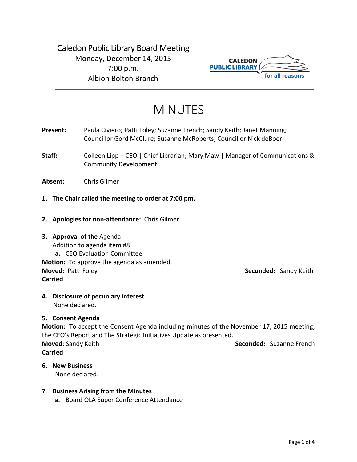Caledon Public Library Board Meeting Monday, December 14, 2015 7:00 p.m. Albion Bolton Branch



# MINUTES

**Present:** Paula Civiero; Patti Foley; Suzanne French; Sandy Keith; Janet Manning; Councillor Gord McClure; Susanne McRoberts; Councillor Nick deBoer.

**Staff:** Colleen Lipp – CEO | Chief Librarian; Mary Maw | Manager of Communications & Community Development

**Absent:** Chris Gilmer

- **1. The Chair called the meeting to order at 7:00 pm.**
- **2. Apologies for non-attendance:** Chris Gilmer
- **3. Approval of the** Agenda Addition to agenda item #8 **a.** CEO Evaluation Committee **Motion:** To approve the agenda as amended.

**Carried**

**Moved:** Patti Foley **Seconded:** Sandy Keith

**4. Disclosure of pecuniary interest** None declared.

# **5. Consent Agenda**

**Motion:** To accept the Consent Agenda including minutes of the November 17, 2015 meeting; the CEO's Report and The Strategic Initiatives Update as presented. **Moved:** Sandy Keith **Seconded: Suzanne French Seconded: Suzanne French Carried**

**6. New Business** None declared.

# **7. Business Arising from the Minutes**

**a.** Board OLA Super Conference Attendance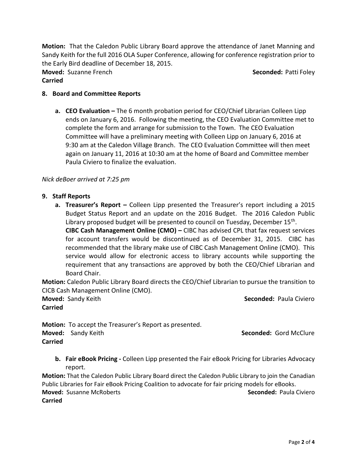**Motion:** That the Caledon Public Library Board approve the attendance of Janet Manning and Sandy Keith for the full 2016 OLA Super Conference, allowing for conference registration prior to the Early Bird deadline of December 18, 2015.

**Moved:** Suzanne French **Seconded:** Patti Foley **Carried**

### **8. Board and Committee Reports**

**a. CEO Evaluation –** The 6 month probation period for CEO/Chief Librarian Colleen Lipp ends on January 6, 2016. Following the meeting, the CEO Evaluation Committee met to complete the form and arrange for submission to the Town. The CEO Evaluation Committee will have a preliminary meeting with Colleen Lipp on January 6, 2016 at 9:30 am at the Caledon Village Branch. The CEO Evaluation Committee will then meet again on January 11, 2016 at 10:30 am at the home of Board and Committee member Paula Civiero to finalize the evaluation.

#### *Nick deBoer arrived at 7:25 pm*

- **9. Staff Reports**
	- **a. Treasurer's Report –** Colleen Lipp presented the Treasurer's report including a 2015 Budget Status Report and an update on the 2016 Budget. The 2016 Caledon Public Library proposed budget will be presented to council on Tuesday, December 15<sup>th</sup>.

**CIBC Cash Management Online (CMO) –** CIBC has advised CPL that fax request services for account transfers would be discontinued as of December 31, 2015. CIBC has recommended that the library make use of CIBC Cash Management Online (CMO). This service would allow for electronic access to library accounts while supporting the requirement that any transactions are approved by both the CEO/Chief Librarian and Board Chair.

**Motion:** Caledon Public Library Board directs the CEO/Chief Librarian to pursue the transition to CICB Cash Management Online (CMO).

**Carried**

**Moved:** Sandy Keith **Seconded:** Paula Civiero

**Motion:** To accept the Treasurer's Report as presented. **Moved:** Sandy Keith **Seconded:** Gord McClure **Seconded:** Gord McClure **Carried**

**b. Fair eBook Pricing -** Colleen Lipp presented the Fair eBook Pricing for Libraries Advocacy report.

**Motion:** That the Caledon Public Library Board direct the Caledon Public Library to join the Canadian Public Libraries for Fair eBook Pricing Coalition to advocate for fair pricing models for eBooks. **Moved:** Susanne McRoberts **Seconded:** Paula Civiero **Carried**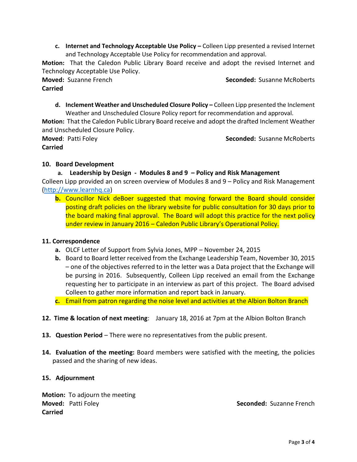**c. Internet and Technology Acceptable Use Policy –** Colleen Lipp presented a revised Internet and Technology Acceptable Use Policy for recommendation and approval.

**Motion:** That the Caledon Public Library Board receive and adopt the revised Internet and Technology Acceptable Use Policy.

# **Carried**

**Moved:** Suzanne French **Seconded:** Susanne McRoberts

**d.** Inclement Weather and Unscheduled Closure Policy – Colleen Lipp presented the Inclement Weather and Unscheduled Closure Policy report for recommendation and approval.

**Motion:** That the Caledon Public Library Board receive and adopt the drafted Inclement Weather and Unscheduled Closure Policy.

**Moved**: Patti Foley **Seconded:** Susanne McRoberts **Carried**

# **10. Board Development**

# **a. Leadership by Design - Modules 8 and 9 – Policy and Risk Management**

Colleen Lipp provided an on screen overview of Modules 8 and 9 – Policy and Risk Management [\(http://www.learnhq.ca\)](http://www.learnhq.ca/)

**b.** Councillor Nick deBoer suggested that moving forward the Board should consider posting draft policies on the library website for public consultation for 30 days prior to the board making final approval. The Board will adopt this practice for the next policy under review in January 2016 – Caledon Public Library's Operational Policy.

# **11. Correspondence**

- **a.** OLCF Letter of Support from Sylvia Jones, MPP November 24, 2015
- **b.** Board to Board letter received from the Exchange Leadership Team, November 30, 2015 – one of the objectives referred to in the letter was a Data project that the Exchange will be pursing in 2016. Subsequently, Colleen Lipp received an email from the Exchange requesting her to participate in an interview as part of this project. The Board advised Colleen to gather more information and report back in January.

**c.** Email from patron regarding the noise level and activities at the Albion Bolton Branch

- **12. Time & location of next meeting**: January 18, 2016 at 7pm at the Albion Bolton Branch
- **13. Question Period**  There were no representatives from the public present.
- **14. Evaluation of the meeting:** Board members were satisfied with the meeting, the policies passed and the sharing of new ideas.

# **15. Adjournment**

**Motion:** To adjourn the meeting **Moved:** Patti Foley **Seconded: Suzanne French Seconded: Suzanne French Carried**